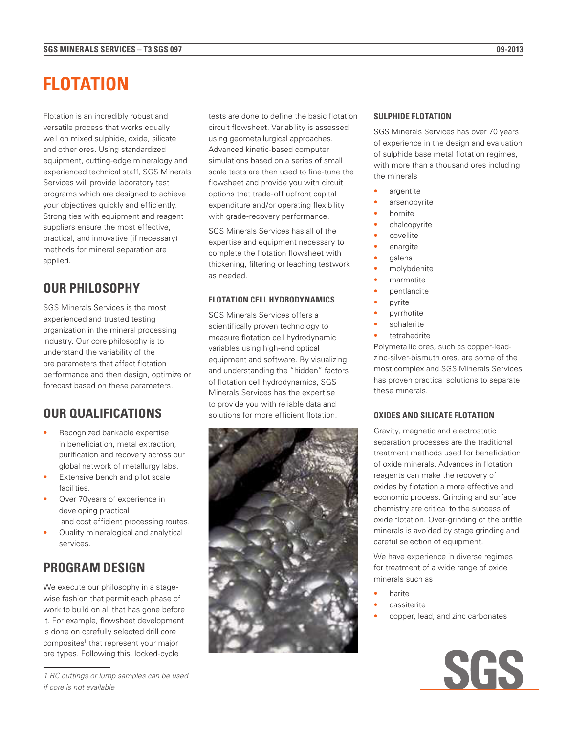# **FLOTATION**

Flotation is an incredibly robust and versatile process that works equally well on mixed sulphide, oxide, silicate and other ores. Using standardized equipment, cutting-edge mineralogy and experienced technical staff, SGS Minerals Services will provide laboratory test programs which are designed to achieve your objectives quickly and efficiently. Strong ties with equipment and reagent suppliers ensure the most effective, practical, and innovative (if necessary) methods for mineral separation are applied.

## **OUR PHILOSOPHY**

SGS Minerals Services is the most experienced and trusted testing organization in the mineral processing industry. Our core philosophy is to understand the variability of the ore parameters that affect flotation performance and then design, optimize or forecast based on these parameters.

## **OUR QUALIFICATIONS**

- Recognized bankable expertise in beneficiation, metal extraction, purification and recovery across our global network of metallurgy labs.
- Extensive bench and pilot scale facilities.
- Over 70years of experience in developing practical
- and cost efficient processing routes. • Quality mineralogical and analytical services.

## **PROGRAM DESIGN**

We execute our philosophy in a stagewise fashion that permit each phase of work to build on all that has gone before it. For example, flowsheet development is done on carefully selected drill core composites<sup>1</sup> that represent your major ore types. Following this, locked-cycle

*1 RC cuttings or lump samples can be used if core is not available*

tests are done to define the basic flotation circuit flowsheet. Variability is assessed using geometallurgical approaches. Advanced kinetic-based computer simulations based on a series of small scale tests are then used to fine-tune the flowsheet and provide you with circuit options that trade-off upfront capital expenditure and/or operating flexibility with grade-recovery performance.

SGS Minerals Services has all of the expertise and equipment necessary to complete the flotation flowsheet with thickening, filtering or leaching testwork as needed.

#### **FLOTATION CELL HYDRODYNAMICS**

SGS Minerals Services offers a scientifically proven technology to measure flotation cell hydrodynamic variables using high-end optical equipment and software. By visualizing and understanding the "hidden" factors of flotation cell hydrodynamics, SGS Minerals Services has the expertise to provide you with reliable data and solutions for more efficient flotation.



#### **SULPHIDE FLOTATION**

SGS Minerals Services has over 70 years of experience in the design and evaluation of sulphide base metal flotation regimes, with more than a thousand ores including the minerals

- argentite
- arsenopyrite
- bornite
- chalcopyrite
- **covellite**
- enargite
- galena
- molybdenite
- marmatite
- pentlandite
- pyrite
- pyrrhotite
- sphalerite
- tetrahedrite

Polymetallic ores, such as copper-leadzinc-silver-bismuth ores, are some of the most complex and SGS Minerals Services has proven practical solutions to separate these minerals.

#### **OXIDES AND SILICATE FLOTATION**

Gravity, magnetic and electrostatic separation processes are the traditional treatment methods used for beneficiation of oxide minerals. Advances in flotation reagents can make the recovery of oxides by flotation a more effective and economic process. Grinding and surface chemistry are critical to the success of oxide flotation. Over-grinding of the brittle minerals is avoided by stage grinding and careful selection of equipment.

We have experience in diverse regimes for treatment of a wide range of oxide minerals such as

- **barite**
- cassiterite
- copper, lead, and zinc carbonates

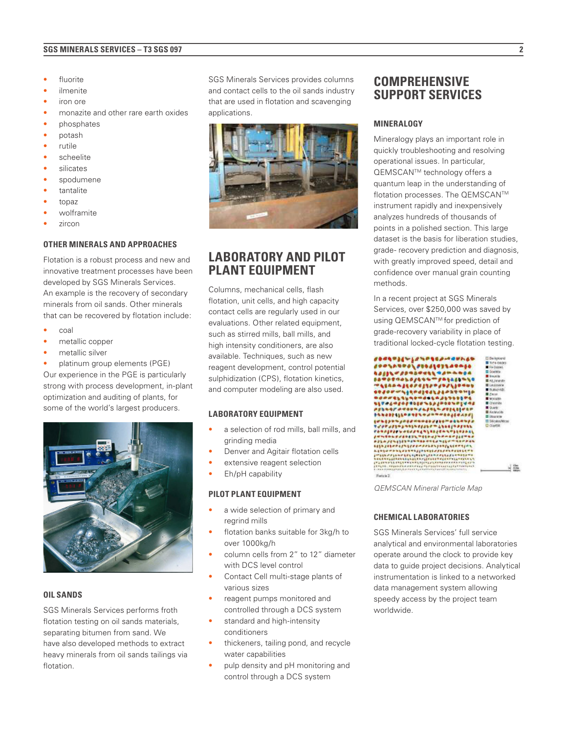#### **SGS MINERALS SERVICES – T3 SGS 097 2**

- **fluorite**
- *ilmenite*
- iron ore
- monazite and other rare earth oxides
- phosphates
- potash
- rutile
- scheelite
- *silicates*
- spodumene
- tantalite
- topaz
- wolframite
- zircon

#### **OTHER MINERALS AND APPROACHES**

Flotation is a robust process and new and innovative treatment processes have been developed by SGS Minerals Services. An example is the recovery of secondary minerals from oil sands. Other minerals that can be recovered by flotation include:

- coal
- metallic copper
- metallic silver

• platinum group elements (PGE) Our experience in the PGE is particularly strong with process development, in-plant optimization and auditing of plants, for some of the world's largest producers.



#### **OIL SANDS**

SGS Minerals Services performs froth flotation testing on oil sands materials, separating bitumen from sand. We have also developed methods to extract heavy minerals from oil sands tailings via flotation.

SGS Minerals Services provides columns and contact cells to the oil sands industry that are used in flotation and scavenging applications.



### **LABORATORY AND PILOT PLANT EQUIPMENT**

Columns, mechanical cells, flash flotation, unit cells, and high capacity contact cells are regularly used in our evaluations. Other related equipment, such as stirred mills, ball mills, and high intensity conditioners, are also available. Techniques, such as new reagent development, control potential sulphidization (CPS), flotation kinetics, and computer modeling are also used.

#### **LABORATORY EQUIPMENT**

- a selection of rod mills, ball mills, and grinding media
- Denver and Agitair flotation cells
- extensive reagent selection
- Eh/pH capability

#### **PILOT PLANT EQUIPMENT**

- a wide selection of primary and regrind mills
- flotation banks suitable for 3kg/h to over 1000kg/h
- column cells from 2" to 12" diameter with DCS level control
- Contact Cell multi-stage plants of various sizes
- reagent pumps monitored and controlled through a DCS system
- standard and high-intensity conditioners
- thickeners, tailing pond, and recycle water capabilities
- pulp density and pH monitoring and control through a DCS system

### **COMPREHENSIVE SUPPORT SERVICES**

#### **MINERALOGY**

Mineralogy plays an important role in quickly troubleshooting and resolving operational issues. In particular, QEMSCAN™ technology offers a quantum leap in the understanding of flotation processes. The QEMSCAN™ instrument rapidly and inexpensively analyzes hundreds of thousands of points in a polished section. This large dataset is the basis for liberation studies, grade- recovery prediction and diagnosis, with greatly improved speed, detail and confidence over manual grain counting methods.

In a recent project at SGS Minerals Services, over \$250,000 was saved by using QEMSCAN™ for prediction of grade-recovery variability in place of traditional locked-cycle flotation testing.



*QEMSCAN Mineral Particle Map*

#### **CHEMICAL LABORATORIES**

SGS Minerals Services' full service analytical and environmental laboratories operate around the clock to provide key data to guide project decisions. Analytical instrumentation is linked to a networked data management system allowing speedy access by the project team worldwide.